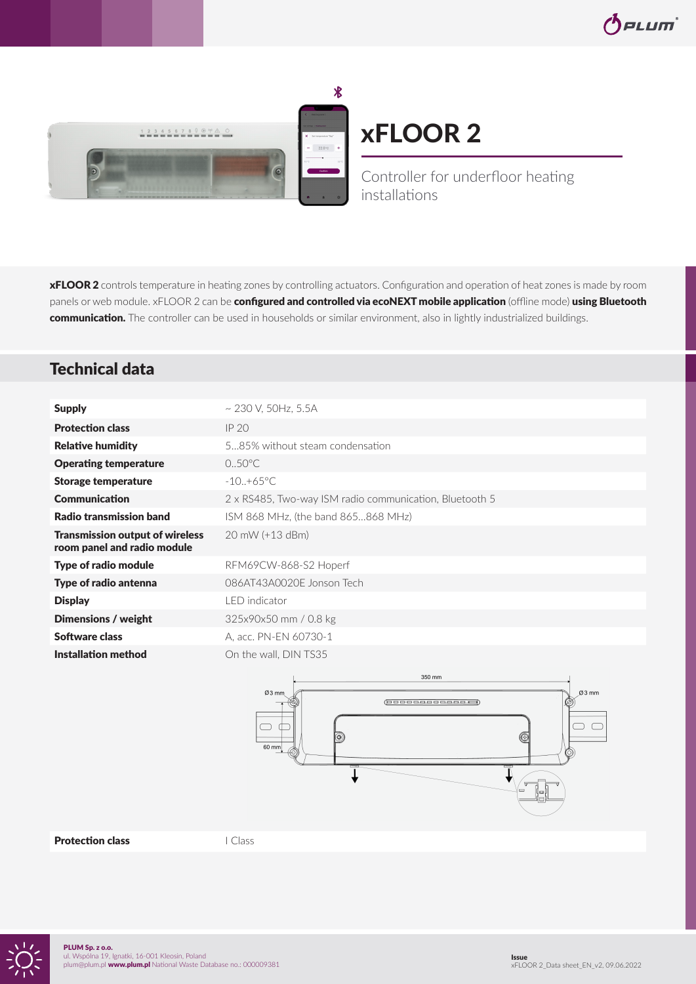

# xFLOOR 2

Controller for underfloor heating installations

**xFLOOR 2** controls temperature in heating zones by controlling actuators. Configuration and operation of heat zones is made by room panels or web module. xFLOOR 2 can be configured and controlled via ecoNEXT mobile application (offline mode) using Bluetooth communication. The controller can be used in households or similar environment, also in lightly industrialized buildings.

## Technical data

| <b>Supply</b>                                                         | $\sim$ 230 V, 50Hz, 5.5A                                |
|-----------------------------------------------------------------------|---------------------------------------------------------|
| <b>Protection class</b>                                               | IP 20                                                   |
| <b>Relative humidity</b>                                              | 585% without steam condensation                         |
| <b>Operating temperature</b>                                          | $0.50^{\circ}$ C                                        |
| <b>Storage temperature</b>                                            | $-10.+65^{\circ}C$                                      |
| <b>Communication</b>                                                  | 2 x RS485, Two-way ISM radio communication, Bluetooth 5 |
| Radio transmission band                                               | ISM 868 MHz, (the band 865868 MHz)                      |
| <b>Transmission output of wireless</b><br>room panel and radio module | $20 \text{ mW}$ (+13 dBm)                               |
| Type of radio module                                                  | RFM69CW-868-S2 Hoperf                                   |
| Type of radio antenna                                                 | 086AT43A0020F Jonson Tech                               |
| <b>Display</b>                                                        | $LED$ indicator                                         |
| Dimensions / weight                                                   | 325x90x50 mm / 0.8 kg                                   |
| Software class                                                        | A, acc. PN-EN 60730-1                                   |
| Installation method                                                   | On the wall. DIN TS35                                   |



**Protection class I Class**